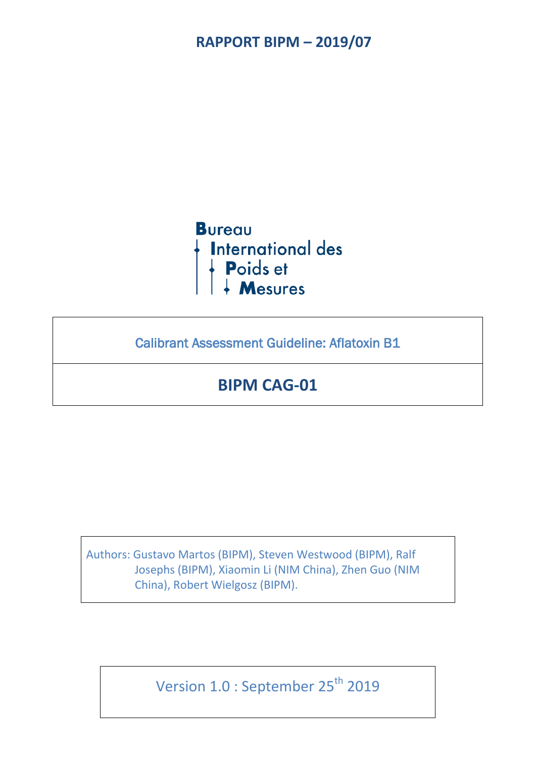

Calibrant Assessment Guideline: Aflatoxin B1

# **BIPM CAG-01**

Authors: Gustavo Martos (BIPM), Steven Westwood (BIPM), Ralf Josephs (BIPM), Xiaomin Li (NIM China), Zhen Guo (NIM China), Robert Wielgosz (BIPM).

Version 1.0 : September 25<sup>th</sup> 2019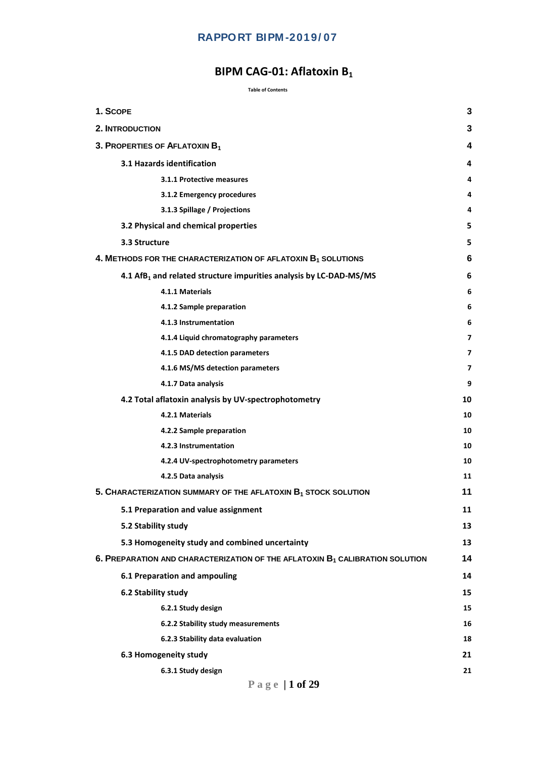## **BIPM CAG-01: Aflatoxin B<sub>1</sub>**

#### **Table of Contents**

| 1. SCOPE                                  |                                                                                          | 3  |
|-------------------------------------------|------------------------------------------------------------------------------------------|----|
| <b>2. INTRODUCTION</b>                    |                                                                                          | 3  |
| 3. PROPERTIES OF AFLATOXIN B <sub>1</sub> |                                                                                          | 4  |
|                                           | 3.1 Hazards identification                                                               | 4  |
|                                           | 3.1.1 Protective measures                                                                | 4  |
|                                           | 3.1.2 Emergency procedures                                                               | 4  |
|                                           | 3.1.3 Spillage / Projections                                                             | 4  |
|                                           | 3.2 Physical and chemical properties                                                     | 5  |
| 3.3 Structure                             |                                                                                          | 5  |
|                                           | 4. METHODS FOR THE CHARACTERIZATION OF AFLATOXIN $B_1$ SOLUTIONS                         | 6  |
|                                           | 4.1 AfB <sub>1</sub> and related structure impurities analysis by LC-DAD-MS/MS           | 6  |
|                                           | 4.1.1 Materials                                                                          | 6  |
|                                           | 4.1.2 Sample preparation                                                                 | 6  |
|                                           | 4.1.3 Instrumentation                                                                    | 6  |
|                                           | 4.1.4 Liquid chromatography parameters                                                   | 7  |
|                                           | 4.1.5 DAD detection parameters                                                           | 7  |
|                                           | 4.1.6 MS/MS detection parameters                                                         | 7  |
|                                           | 4.1.7 Data analysis                                                                      | 9  |
|                                           | 4.2 Total aflatoxin analysis by UV-spectrophotometry                                     | 10 |
|                                           | 4.2.1 Materials                                                                          | 10 |
|                                           | 4.2.2 Sample preparation                                                                 | 10 |
|                                           | 4.2.3 Instrumentation                                                                    | 10 |
|                                           | 4.2.4 UV-spectrophotometry parameters                                                    | 10 |
|                                           | 4.2.5 Data analysis                                                                      | 11 |
|                                           | 5. CHARACTERIZATION SUMMARY OF THE AFLATOXIN B <sub>1</sub> STOCK SOLUTION               | 11 |
|                                           | 5.1 Preparation and value assignment                                                     | 11 |
| 5.2 Stability study                       |                                                                                          | 13 |
|                                           | 5.3 Homogeneity study and combined uncertainty                                           | 13 |
|                                           | 6. PREPARATION AND CHARACTERIZATION OF THE AFLATOXIN B <sub>1</sub> CALIBRATION SOLUTION | 14 |
|                                           | 6.1 Preparation and ampouling                                                            | 14 |
| 6.2 Stability study                       |                                                                                          | 15 |
|                                           | 6.2.1 Study design                                                                       | 15 |
|                                           | 6.2.2 Stability study measurements                                                       | 16 |
|                                           | 6.2.3 Stability data evaluation                                                          | 18 |
|                                           | 6.3 Homogeneity study                                                                    | 21 |
|                                           | 6.3.1 Study design                                                                       | 21 |
|                                           |                                                                                          |    |

**Page | 1 of 29**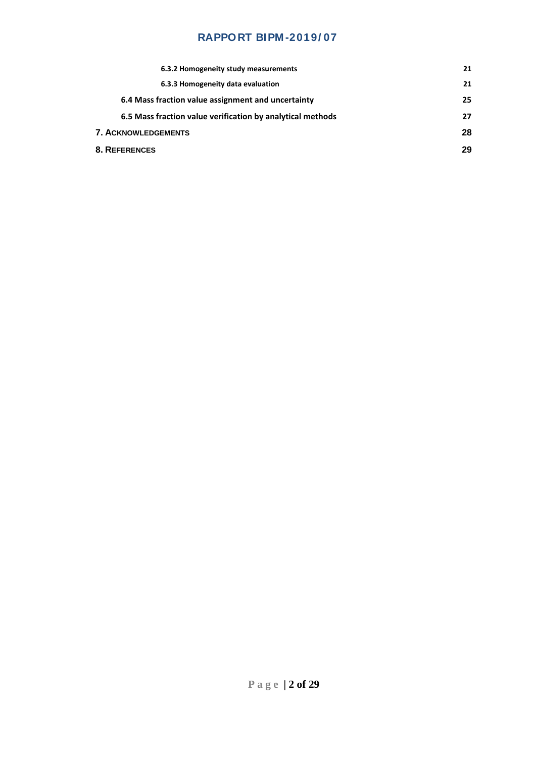| 6.3.2 Homogeneity study measurements                       | 21 |
|------------------------------------------------------------|----|
| 6.3.3 Homogeneity data evaluation                          | 21 |
| 6.4 Mass fraction value assignment and uncertainty         | 25 |
| 6.5 Mass fraction value verification by analytical methods | 27 |
| <b>7. ACKNOWLEDGEMENTS</b>                                 | 28 |
| <b>8. REFERENCES</b>                                       | 29 |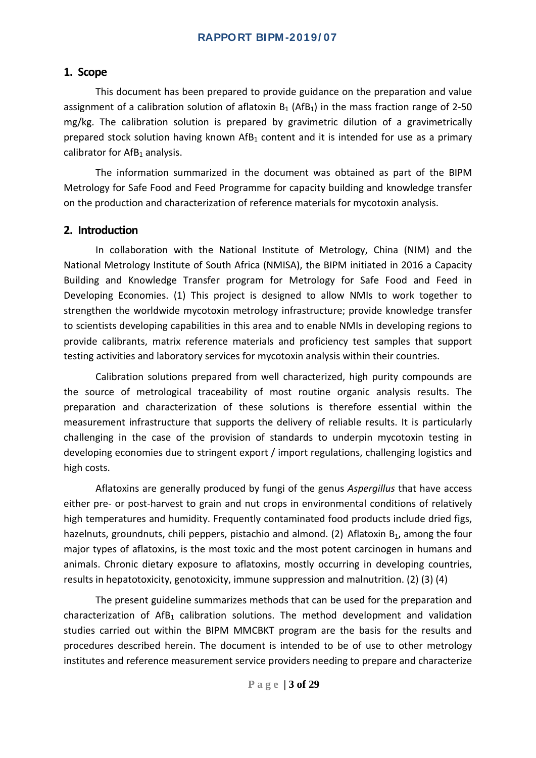## <span id="page-3-0"></span>**1. Scope**

This document has been prepared to provide guidance on the preparation and value assignment of a calibration solution of aflatoxin  $B_1$  (AfB<sub>1</sub>) in the mass fraction range of 2-50 mg/kg. The calibration solution is prepared by gravimetric dilution of a gravimetrically prepared stock solution having known  $Aff<sub>1</sub>$  content and it is intended for use as a primary calibrator for  $Aff<sub>1</sub>$  analysis.

The information summarized in the document was obtained as part of the BIPM Metrology for Safe Food and Feed Programme for capacity building and knowledge transfer on the production and characterization of reference materials for mycotoxin analysis.

#### <span id="page-3-1"></span>**2. Introduction**

In collaboration with the National Institute of Metrology, China (NIM) and the National Metrology Institute of South Africa (NMISA), the BIPM initiated in 2016 a Capacity Building and Knowledge Transfer program for Metrology for Safe Food and Feed in Developing Economies. (1) This project is designed to allow NMIs to work together to strengthen the worldwide mycotoxin metrology infrastructure; provide knowledge transfer to scientists developing capabilities in this area and to enable NMIs in developing regions to provide calibrants, matrix reference materials and proficiency test samples that support testing activities and laboratory services for mycotoxin analysis within their countries.

Calibration solutions prepared from well characterized, high purity compounds are the source of metrological traceability of most routine organic analysis results. The preparation and characterization of these solutions is therefore essential within the measurement infrastructure that supports the delivery of reliable results. It is particularly challenging in the case of the provision of standards to underpin mycotoxin testing in developing economies due to stringent export / import regulations, challenging logistics and high costs.

Aflatoxins are generally produced by fungi of the genus *Aspergillus* that have access either pre- or post-harvest to grain and nut crops in environmental conditions of relatively high temperatures and humidity. Frequently contaminated food products include dried figs, hazelnuts, groundnuts, chili peppers, pistachio and almond. (2) Aflatoxin  $B_1$ , among the four major types of aflatoxins, is the most toxic and the most potent carcinogen in humans and animals. Chronic dietary exposure to aflatoxins, mostly occurring in developing countries, results in hepatotoxicity, genotoxicity, immune suppression and malnutrition. (2) (3) (4)

The present guideline summarizes methods that can be used for the preparation and characterization of  $Aff<sub>1</sub>$  calibration solutions. The method development and validation studies carried out within the BIPM MMCBKT program are the basis for the results and procedures described herein. The document is intended to be of use to other metrology institutes and reference measurement service providers needing to prepare and characterize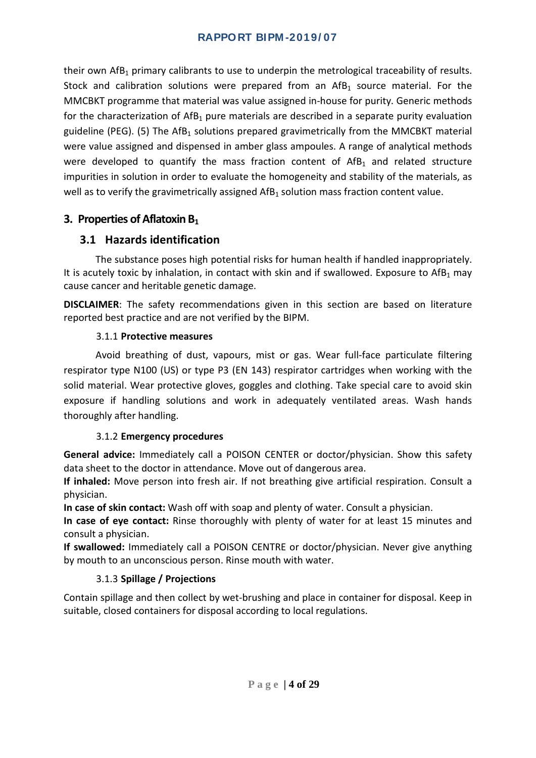their own AfB<sub>1</sub> primary calibrants to use to underpin the metrological traceability of results. Stock and calibration solutions were prepared from an  $Aff<sub>1</sub>$  source material. For the MMCBKT programme that material was value assigned in-house for purity. Generic methods for the characterization of  $AfB_1$  pure materials are described in a separate purity evaluation guideline (PEG). (5) The  $Aff<sub>1</sub>$  solutions prepared gravimetrically from the MMCBKT material were value assigned and dispensed in amber glass ampoules. A range of analytical methods were developed to quantify the mass fraction content of  $Aff<sub>1</sub>$  and related structure impurities in solution in order to evaluate the homogeneity and stability of the materials, as well as to verify the gravimetrically assigned  $Aff<sub>1</sub>$  solution mass fraction content value.

## <span id="page-4-0"></span>**3. Properties of Aflatoxin B**<sub>1</sub>

## <span id="page-4-1"></span>**3.1 Hazards identification**

The substance poses high potential risks for human health if handled inappropriately. It is acutely toxic by inhalation, in contact with skin and if swallowed. Exposure to  $Aff<sub>1</sub>$  may cause cancer and heritable genetic damage.

**DISCLAIMER**: The safety recommendations given in this section are based on literature reported best practice and are not verified by the BIPM.

## 3.1.1 **Protective measures**

<span id="page-4-2"></span>Avoid breathing of dust, vapours, mist or gas. Wear full-face particulate filtering respirator type N100 (US) or type P3 (EN 143) respirator cartridges when working with the solid material. Wear protective gloves, goggles and clothing. Take special care to avoid skin exposure if handling solutions and work in adequately ventilated areas. Wash hands thoroughly after handling.

## 3.1.2 **Emergency procedures**

<span id="page-4-3"></span>**General advice:** Immediately call a POISON CENTER or doctor/physician. Show this safety data sheet to the doctor in attendance. Move out of dangerous area.

**If inhaled:** Move person into fresh air. If not breathing give artificial respiration. Consult a physician.

**In case of skin contact:** Wash off with soap and plenty of water. Consult a physician.

**In case of eye contact:** Rinse thoroughly with plenty of water for at least 15 minutes and consult a physician.

**If swallowed:** Immediately call a POISON CENTRE or doctor/physician. Never give anything by mouth to an unconscious person. Rinse mouth with water.

## 3.1.3 **Spillage / Projections**

<span id="page-4-4"></span>Contain spillage and then collect by wet-brushing and place in container for disposal. Keep in suitable, closed containers for disposal according to local regulations.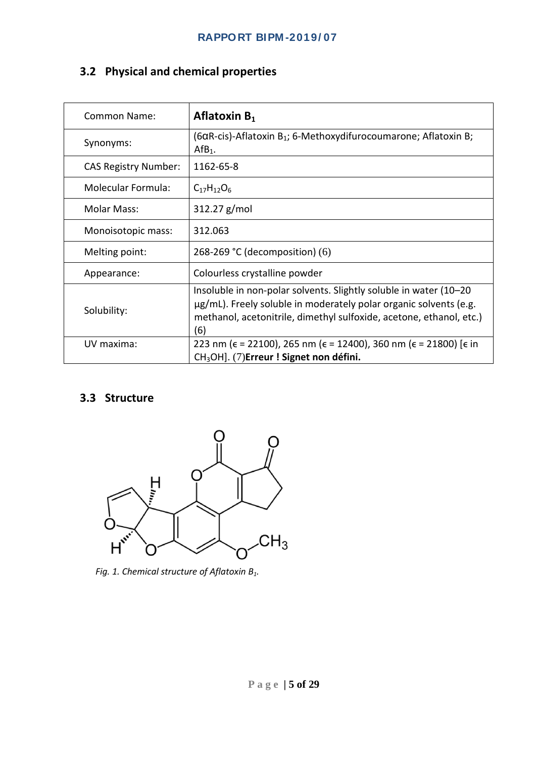## <span id="page-5-0"></span>**3.2 Physical and chemical properties**

| <b>Common Name:</b>         | Aflatoxin $B_1$                                                                                                                                                                                                       |
|-----------------------------|-----------------------------------------------------------------------------------------------------------------------------------------------------------------------------------------------------------------------|
| Synonyms:                   | $(6\alpha R\text{-cis})$ -Aflatoxin B <sub>1</sub> ; 6-Methoxydifurocoumarone; Aflatoxin B;<br>$Aff1$ .                                                                                                               |
| <b>CAS Registry Number:</b> | 1162-65-8                                                                                                                                                                                                             |
| <b>Molecular Formula:</b>   | $C_{17}H_{12}O_6$                                                                                                                                                                                                     |
| <b>Molar Mass:</b>          | 312.27 g/mol                                                                                                                                                                                                          |
| Monoisotopic mass:          | 312.063                                                                                                                                                                                                               |
| Melting point:              | 268-269 °C (decomposition) $(6)$                                                                                                                                                                                      |
| Appearance:                 | Colourless crystalline powder                                                                                                                                                                                         |
| Solubility:                 | Insoluble in non-polar solvents. Slightly soluble in water (10-20)<br>μg/mL). Freely soluble in moderately polar organic solvents (e.g.<br>methanol, acetonitrile, dimethyl sulfoxide, acetone, ethanol, etc.)<br>(6) |
| UV maxima:                  | 223 nm ( $\epsilon$ = 22100), 265 nm ( $\epsilon$ = 12400), 360 nm ( $\epsilon$ = 21800) [ $\epsilon$ in<br>CH <sub>3</sub> OH]. (7)Erreur ! Signet non défini.                                                       |

## <span id="page-5-1"></span>**3.3 Structure**

<span id="page-5-2"></span>

*Fig. 1. Chemical structure of Aflatoxin B1.*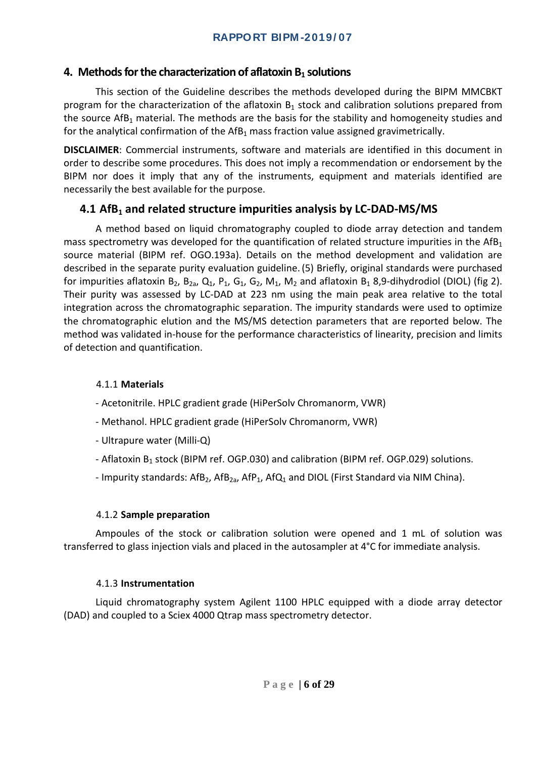## 4. Methods for the characterization of aflatoxin B<sub>1</sub> solutions

This section of the Guideline describes the methods developed during the BIPM MMCBKT program for the characterization of the aflatoxin  $B_1$  stock and calibration solutions prepared from the source  $Aff<sub>1</sub>$  material. The methods are the basis for the stability and homogeneity studies and for the analytical confirmation of the  $AIB<sub>1</sub>$  mass fraction value assigned gravimetrically.

**DISCLAIMER**: Commercial instruments, software and materials are identified in this document in order to describe some procedures. This does not imply a recommendation or endorsement by the BIPM nor does it imply that any of the instruments, equipment and materials identified are necessarily the best available for the purpose.

## <span id="page-6-0"></span>**4.1 AfB1 and related structure impurities analysis by LC-DAD-MS/MS**

A method based on liquid chromatography coupled to diode array detection and tandem mass spectrometry was developed for the quantification of related structure impurities in the AfB<sub>1</sub> source material (BIPM ref. OGO.193a). Details on the method development and validation are described in the separate purity evaluation guideline.(5) Briefly, original standards were purchased for impurities aflatoxin  $B_2$ ,  $B_{2a}$ ,  $Q_1$ ,  $P_1$ ,  $G_1$ ,  $G_2$ ,  $M_1$ ,  $M_2$  and aflatoxin  $B_1$  8,9-dihydrodiol (DIOL) (fig 2). Their purity was assessed by LC-DAD at 223 nm using the main peak area relative to the total integration across the chromatographic separation. The impurity standards were used to optimize the chromatographic elution and the MS/MS detection parameters that are reported below. The method was validated in-house for the performance characteristics of linearity, precision and limits of detection and quantification.

### <span id="page-6-1"></span>4.1.1 **Materials**

- Acetonitrile. HPLC gradient grade (HiPerSolv Chromanorm, VWR)
- Methanol. HPLC gradient grade (HiPerSolv Chromanorm, VWR)
- Ultrapure water (Milli-Q)
- Aflatoxin B<sub>1</sub> stock (BIPM ref. OGP.030) and calibration (BIPM ref. OGP.029) solutions.
- Impurity standards:  $AFB<sub>2</sub>$ ,  $AFB<sub>2a</sub>$ ,  $AFD<sub>1</sub>$ ,  $AFQ<sub>1</sub>$  and DIOL (First Standard via NIM China).

#### 4.1.2 **Sample preparation**

<span id="page-6-2"></span>Ampoules of the stock or calibration solution were opened and 1 mL of solution was transferred to glass injection vials and placed in the autosampler at 4°C for immediate analysis.

#### 4.1.3 **Instrumentation**

<span id="page-6-3"></span>Liquid chromatography system Agilent 1100 HPLC equipped with a diode array detector (DAD) and coupled to a Sciex 4000 Qtrap mass spectrometry detector.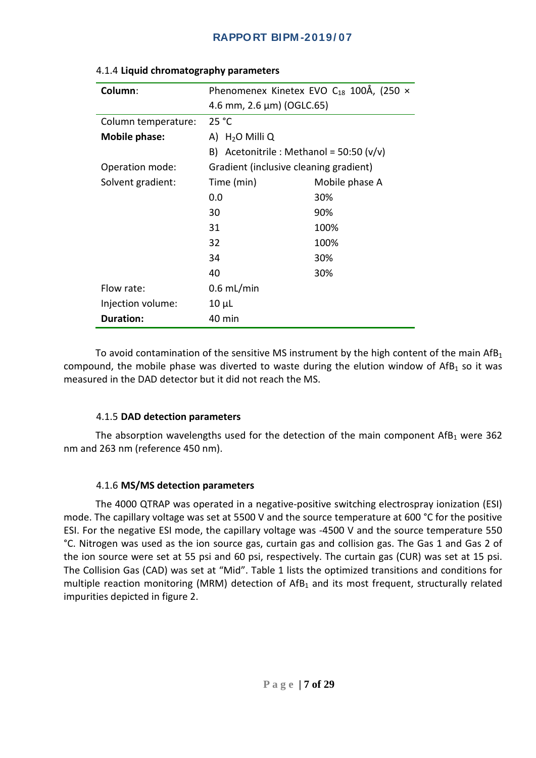| Column:             | Phenomenex Kinetex EVO $C_{18}$ 100Å, (250 $\times$ |                |  |  |
|---------------------|-----------------------------------------------------|----------------|--|--|
|                     | $(4.6 \text{ mm}, 2.6 \text{ \mu m})$ (OGLC.65)     |                |  |  |
| Column temperature: | 25 °C                                               |                |  |  |
| Mobile phase:       | A) $H_2O$ Milli Q                                   |                |  |  |
|                     | B) Acetonitrile : Methanol = $50:50$ (v/v)          |                |  |  |
| Operation mode:     | Gradient (inclusive cleaning gradient)              |                |  |  |
| Solvent gradient:   | Time (min)                                          | Mobile phase A |  |  |
|                     | 0.0                                                 | 30%            |  |  |
|                     | 30                                                  | 90%            |  |  |
|                     | 31                                                  | 100%           |  |  |
|                     | 32                                                  | 100%           |  |  |
|                     | 34                                                  | 30%            |  |  |
|                     | 40                                                  | 30%            |  |  |
| Flow rate:          | $0.6$ mL/min                                        |                |  |  |
| Injection volume:   | $10 \mu L$                                          |                |  |  |
| <b>Duration:</b>    | 40 min                                              |                |  |  |

#### <span id="page-7-0"></span>4.1.4 **Liquid chromatography parameters**

To avoid contamination of the sensitive MS instrument by the high content of the main  $Aff<sub>1</sub>$ compound, the mobile phase was diverted to waste during the elution window of  $Aff<sub>1</sub>$  so it was measured in the DAD detector but it did not reach the MS.

#### 4.1.5 **DAD detection parameters**

<span id="page-7-1"></span>The absorption wavelengths used for the detection of the main component  $Aff<sub>1</sub>$  were 362 nm and 263 nm (reference 450 nm).

#### 4.1.6 **MS/MS detection parameters**

<span id="page-7-2"></span>The 4000 QTRAP was operated in a negative-positive switching electrospray ionization (ESI) mode. The capillary voltage was set at 5500 V and the source temperature at 600 °C for the positive ESI. For the negative ESI mode, the capillary voltage was -4500 V and the source temperature 550 °C. Nitrogen was used as the ion source gas, curtain gas and collision gas. The Gas 1 and Gas 2 of the ion source were set at 55 psi and 60 psi, respectively. The curtain gas (CUR) was set at 15 psi. The Collision Gas (CAD) was set at "Mid". Table 1 lists the optimized transitions and conditions for multiple reaction monitoring (MRM) detection of  $Aff<sub>1</sub>$  and its most frequent, structurally related impurities depicted in figure 2.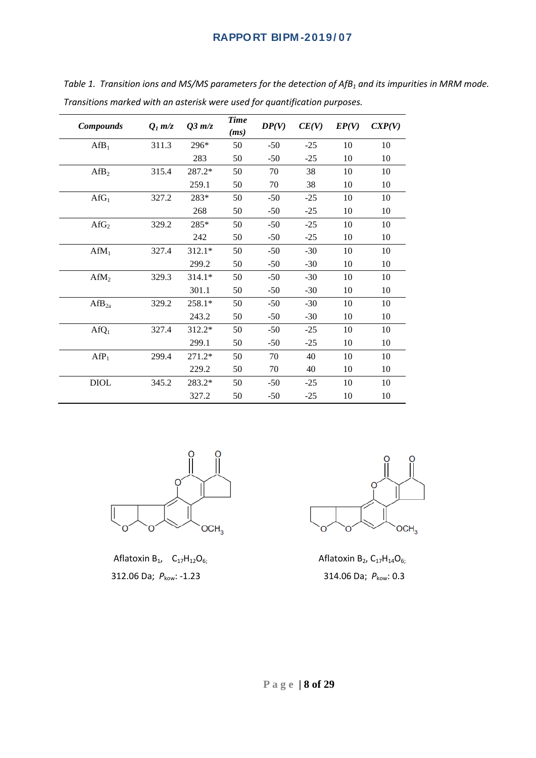| <b>Compounds</b>                                                                                                           | $Q_l$ m/z | $Q3$ m/z | <b>Time</b><br>(ms) | DP(V) | CE(V) | EP(V) | CXP(V) |
|----------------------------------------------------------------------------------------------------------------------------|-----------|----------|---------------------|-------|-------|-------|--------|
| Aff <sub>1</sub>                                                                                                           | 311.3     | 296*     | 50                  | $-50$ | $-25$ | 10    | 10     |
|                                                                                                                            |           | 283      | 50                  | $-50$ | $-25$ | 10    | 10     |
| Aff <sub>2</sub>                                                                                                           | 315.4     | 287.2*   | 50                  | 70    | 38    | 10    | 10     |
|                                                                                                                            |           | 259.1    | 50                  | 70    | 38    | 10    | 10     |
| Aff <sub>1</sub>                                                                                                           | 327.2     | 283*     | 50                  | $-50$ | $-25$ | 10    | 10     |
|                                                                                                                            |           | 268      | 50                  | $-50$ | $-25$ | 10    | 10     |
| Aff <sub>2</sub>                                                                                                           | 329.2     | 285*     | 50                  | $-50$ | $-25$ | 10    | 10     |
|                                                                                                                            |           | 242      | 50                  | $-50$ | $-25$ | 10    | 10     |
| $AffM_1$                                                                                                                   | 327.4     | 312.1*   | 50                  | $-50$ | $-30$ | 10    | 10     |
|                                                                                                                            |           | 299.2    | 50                  | $-50$ | $-30$ | 10    | 10     |
| AffM <sub>2</sub>                                                                                                          | 329.3     | 314.1*   | 50                  | $-50$ | $-30$ | 10    | 10     |
|                                                                                                                            |           | 301.1    | 50                  | $-50$ | $-30$ | 10    | 10     |
| Aff <sub>2a</sub>                                                                                                          | 329.2     | 258.1*   | 50                  | $-50$ | $-30$ | 10    | 10     |
|                                                                                                                            |           | 243.2    | 50                  | $-50$ | $-30$ | 10    | 10     |
| $AfQ_1$                                                                                                                    | 327.4     | 312.2*   | 50                  | $-50$ | $-25$ | 10    | 10     |
|                                                                                                                            |           | 299.1    | 50                  | $-50$ | $-25$ | 10    | 10     |
| Aff <sub>1</sub>                                                                                                           | 299.4     | $271.2*$ | 50                  | 70    | 40    | 10    | 10     |
|                                                                                                                            |           | 229.2    | 50                  | 70    | 40    | 10    | 10     |
| $\ensuremath{\mathsf{D}}\xspace\ensuremath{\mathsf{I}}\xspace\ensuremath{\mathsf{O}}\xspace\ensuremath{\mathsf{L}}\xspace$ | 345.2     | 283.2*   | 50                  | $-50$ | $-25$ | 10    | 10     |
|                                                                                                                            |           | 327.2    | 50                  | $-50$ | $-25$ | 10    | 10     |

*Table 1. Transition ions and MS/MS parameters for the detection of AfB<sub>1</sub> and its impurities in MRM mode. Transitions marked with an asterisk were used for quantification purposes.*



Aflatoxin B<sub>1</sub>,  $C_{17}H_{12}O_{6}$ ; Aflatoxin B<sub>2</sub>,  $C_{17}H_{14}O_{6}$ ; 312.06 Da; *P*kow: -1.23 314.06 Da; *P*kow: 0.3

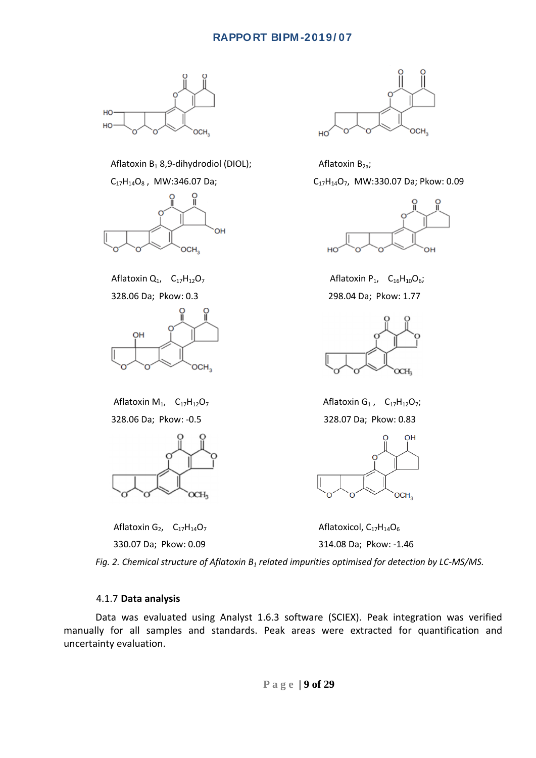

Aflatoxin B<sub>1</sub> 8,9-dihydrodiol (DIOL); Aflatoxin B<sub>2a</sub>;







Aflatoxin G<sub>2</sub>,  $C_{17}H_{14}O_7$  Aflatoxicol,  $C_{17}H_{14}O_6$ 





Aflatoxin  $Q_1$ ,  $C_{17}H_{12}O_7$  Aflatoxin P<sub>1</sub>,  $C_{16}H_{10}O_6$ ; 328.06 Da; Pkow: 0.3 298.04 Da; Pkow: 1.77



Aflatoxin M<sub>1</sub>,  $C_{17}H_{12}O_7$  Aflatoxin G<sub>1</sub>,  $C_{17}H_{12}O_7$ ; 328.06 Da; Pkow: -0.5 328.07 Da; Pkow: 0.83



330.07 Da; Pkow: 0.09 314.08 Da; Pkow: -1.46

*Fig. 2. Chemical structure of Aflatoxin B1 related impurities optimised for detection by LC-MS/MS.*

#### 4.1.7 **Data analysis**

<span id="page-9-0"></span>Data was evaluated using Analyst 1.6.3 software (SCIEX). Peak integration was verified manually for all samples and standards. Peak areas were extracted for quantification and uncertainty evaluation.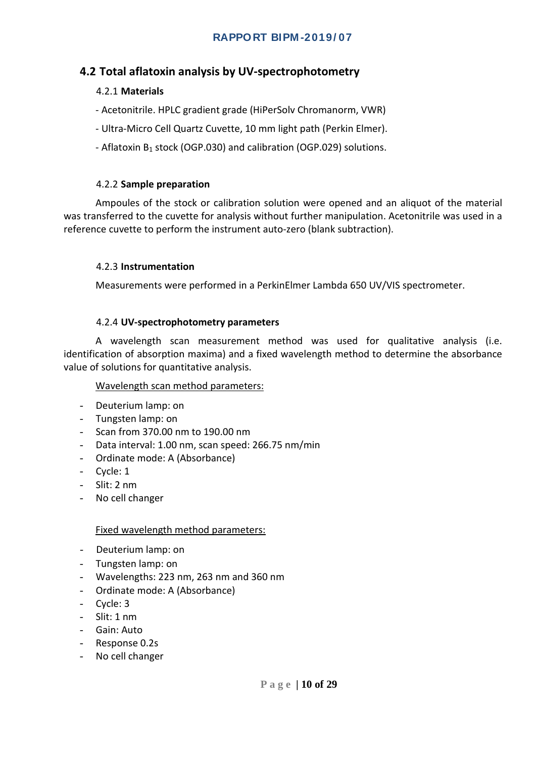## <span id="page-10-1"></span><span id="page-10-0"></span>**4.2 Total aflatoxin analysis by UV-spectrophotometry**

## 4.2.1 **Materials**

- Acetonitrile. HPLC gradient grade (HiPerSolv Chromanorm, VWR)
- Ultra-Micro Cell Quartz Cuvette, 10 mm light path (Perkin Elmer).
- Aflatoxin B<sub>1</sub> stock (OGP.030) and calibration (OGP.029) solutions.

#### 4.2.2 **Sample preparation**

<span id="page-10-2"></span>Ampoules of the stock or calibration solution were opened and an aliquot of the material was transferred to the cuvette for analysis without further manipulation. Acetonitrile was used in a reference cuvette to perform the instrument auto-zero (blank subtraction).

#### <span id="page-10-3"></span>4.2.3 **Instrumentation**

Measurements were performed in a PerkinElmer Lambda 650 UV/VIS spectrometer.

#### 4.2.4 **UV-spectrophotometry parameters**

<span id="page-10-4"></span>A wavelength scan measurement method was used for qualitative analysis (i.e. identification of absorption maxima) and a fixed wavelength method to determine the absorbance value of solutions for quantitative analysis.

#### Wavelength scan method parameters:

- Deuterium lamp: on
- Tungsten lamp: on
- Scan from 370.00 nm to 190.00 nm
- Data interval: 1.00 nm, scan speed: 266.75 nm/min
- Ordinate mode: A (Absorbance)
- Cycle: 1
- Slit: 2 nm
- No cell changer

#### Fixed wavelength method parameters:

- Deuterium lamp: on
- Tungsten lamp: on
- Wavelengths: 223 nm, 263 nm and 360 nm
- Ordinate mode: A (Absorbance)
- Cycle: 3
- Slit: 1 nm
- Gain: Auto
- Response 0.2s
- No cell changer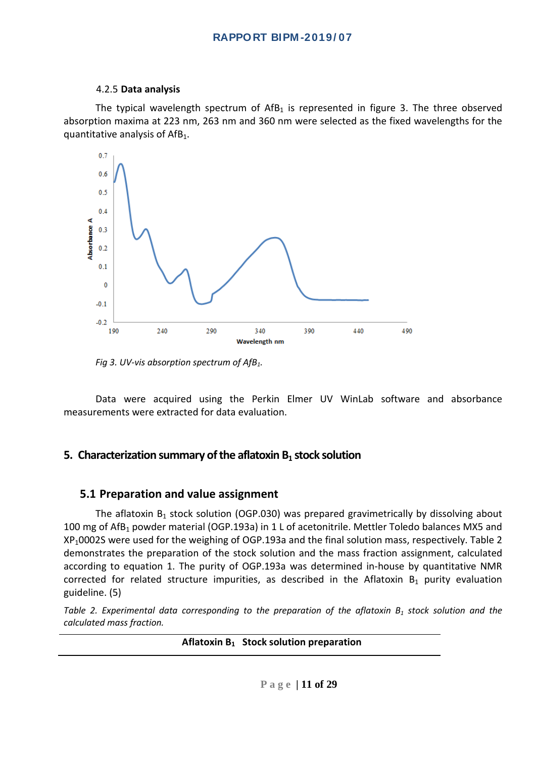#### 4.2.5 **Data analysis**

<span id="page-11-0"></span>The typical wavelength spectrum of  $A f B_1$  is represented in figure 3. The three observed absorption maxima at 223 nm, 263 nm and 360 nm were selected as the fixed wavelengths for the quantitative analysis of  $Aff<sub>1</sub>$ .



*Fig 3. UV-vis absorption spectrum of AfB1.*

Data were acquired using the Perkin Elmer UV WinLab software and absorbance measurements were extracted for data evaluation.

## <span id="page-11-1"></span>**5. Characterization summary of the aflatoxin B<sub>1</sub> stock solution**

#### <span id="page-11-2"></span>**5.1 Preparation and value assignment**

The aflatoxin  $B_1$  stock solution (OGP.030) was prepared gravimetrically by dissolving about 100 mg of AfB<sub>1</sub> powder material (OGP.193a) in 1 L of acetonitrile. Mettler Toledo balances MX5 and XP10002S were used for the weighing of OGP.193a and the final solution mass, respectively. Table 2 demonstrates the preparation of the stock solution and the mass fraction assignment, calculated according to equation 1. The purity of OGP.193a was determined in-house by quantitative NMR corrected for related structure impurities, as described in the Aflatoxin  $B_1$  purity evaluation guideline. (5)

*Table 2. Experimental data corresponding to the preparation of the aflatoxin*  $B_1$  *stock solution and the calculated mass fraction.*

**Aflatoxin B1 Stock solution preparation**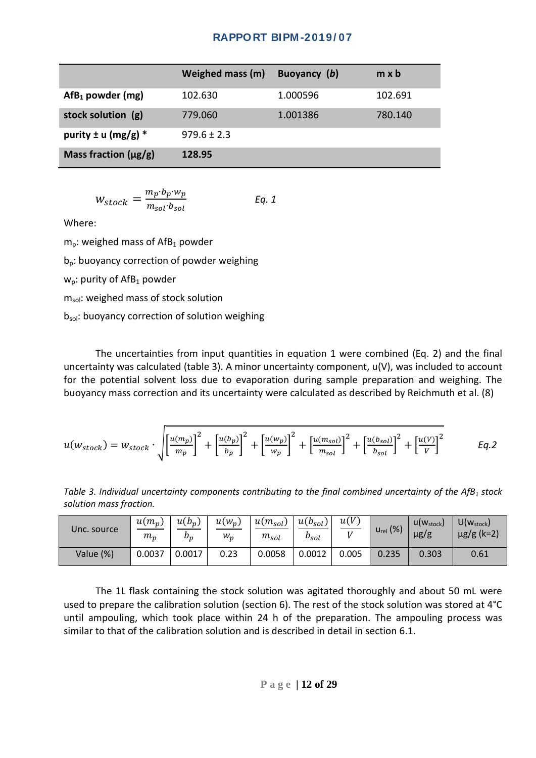|                           | Weighed mass (m) | Buoyancy (b) | $m \times b$ |
|---------------------------|------------------|--------------|--------------|
| $Aff1$ powder (mg)        | 102.630          | 1.000596     | 102.691      |
| stock solution (g)        | 779.060          | 1.001386     | 780.140      |
| purity $\pm$ u (mg/g) *   | $979.6 \pm 2.3$  |              |              |
| Mass fraction $(\mu g/g)$ | 128.95           |              |              |

$$
W_{stock} = \frac{m_p \cdot b_p \cdot w_p}{m_{sol} \cdot b_{sol}} \qquad Eq. 1
$$

Where:

 $m_p$ : weighed mass of AfB<sub>1</sub> powder

 $b_n$ : buoyancy correction of powder weighing

 $w_p$ : purity of AfB<sub>1</sub> powder

m<sub>sol</sub>: weighed mass of stock solution

 $b_{sol}$ : buoyancy correction of solution weighing

The uncertainties from input quantities in equation 1 were combined (Eq. 2) and the final uncertainty was calculated (table 3). A minor uncertainty component, u(V), was included to account for the potential solvent loss due to evaporation during sample preparation and weighing. The buoyancy mass correction and its uncertainty were calculated as described by Reichmuth et al. (8)

$$
u(w_{stock}) = w_{stock} \cdot \sqrt{\left[\frac{u(m_p)}{m_p}\right]^2 + \left[\frac{u(b_p)}{b_p}\right]^2 + \left[\frac{u(w_p)}{w_p}\right]^2 + \left[\frac{u(m_{sol})}{m_{sol}}\right]^2 + \left[\frac{u(b_{sol})}{b_{sol}}\right]^2 + \left[\frac{u(V)}{V}\right]^2}
$$
 Eq.2

*Table 3. Individual uncertainty components contributing to the final combined uncertainty of the AfB<sub>1</sub> stock solution mass fraction.*

| Unc. source | $u(m_p)$<br>$m_p$ | $u(b_p)$<br>$b_p$ | $u(w_p)$<br>$W_p$ | $u(m_{sol})$<br>$m_{sol}$ | $u(b_{sol})$<br>$b_{sol}$ | u(V)  | $u_{rel}$ (%) | $U(W_{stock})$<br>$\mu$ g/g | $U(w_{stock})$<br>$\mu$ g/g (k=2) |
|-------------|-------------------|-------------------|-------------------|---------------------------|---------------------------|-------|---------------|-----------------------------|-----------------------------------|
| Value (%)   | 0.0037            | 0.0017            | 0.23              | 0.0058                    | 0.0012                    | 0.005 | 0.235         | 0.303                       | 0.61                              |

The 1L flask containing the stock solution was agitated thoroughly and about 50 mL were used to prepare the calibration solution (section 6). The rest of the stock solution was stored at 4°C until ampouling, which took place within 24 h of the preparation. The ampouling process was similar to that of the calibration solution and is described in detail in section 6.1.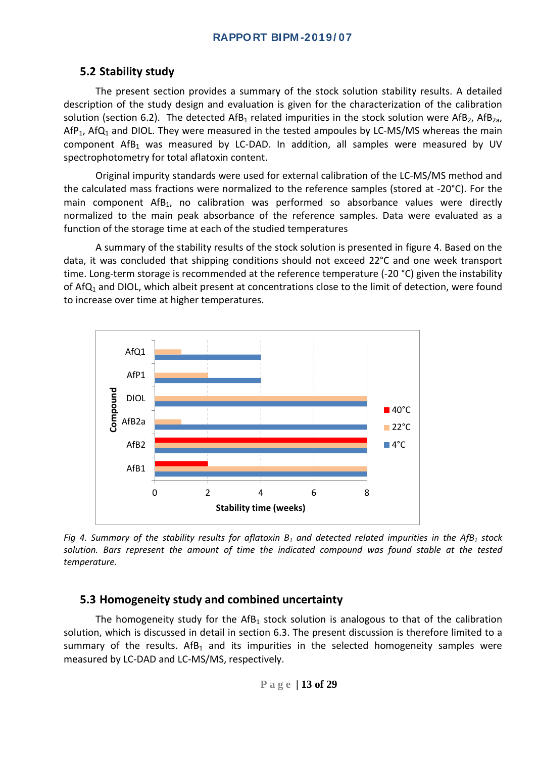## <span id="page-13-0"></span>**5.2 Stability study**

The present section provides a summary of the stock solution stability results. A detailed description of the study design and evaluation is given for the characterization of the calibration solution (section 6.2). The detected AfB<sub>1</sub> related impurities in the stock solution were AfB<sub>2</sub>, AfB<sub>2a</sub>,  $AF<sub>1</sub>$ , AfQ<sub>1</sub> and DIOL. They were measured in the tested ampoules by LC-MS/MS whereas the main component  $Aff<sub>1</sub>$  was measured by LC-DAD. In addition, all samples were measured by UV spectrophotometry for total aflatoxin content.

Original impurity standards were used for external calibration of the LC-MS/MS method and the calculated mass fractions were normalized to the reference samples (stored at -20°C). For the main component AfB<sub>1</sub>, no calibration was performed so absorbance values were directly normalized to the main peak absorbance of the reference samples. Data were evaluated as a function of the storage time at each of the studied temperatures

A summary of the stability results of the stock solution is presented in figure 4. Based on the data, it was concluded that shipping conditions should not exceed 22°C and one week transport time. Long-term storage is recommended at the reference temperature (-20 °C) given the instability of Af $Q_1$  and DIOL, which albeit present at concentrations close to the limit of detection, were found to increase over time at higher temperatures.



*Fig* 4. Summary of the stability results for aflatoxin  $B_1$  and detected related impurities in the AfB<sub>1</sub> stock *solution. Bars represent the amount of time the indicated compound was found stable at the tested temperature.*

#### <span id="page-13-1"></span>**5.3 Homogeneity study and combined uncertainty**

The homogeneity study for the AfB<sub>1</sub> stock solution is analogous to that of the calibration solution, which is discussed in detail in section 6.3. The present discussion is therefore limited to a summary of the results. AfB<sub>1</sub> and its impurities in the selected homogeneity samples were measured by LC-DAD and LC-MS/MS, respectively.

$$
P\ a\ g\ e\ \vert\ 13\ of\ 29
$$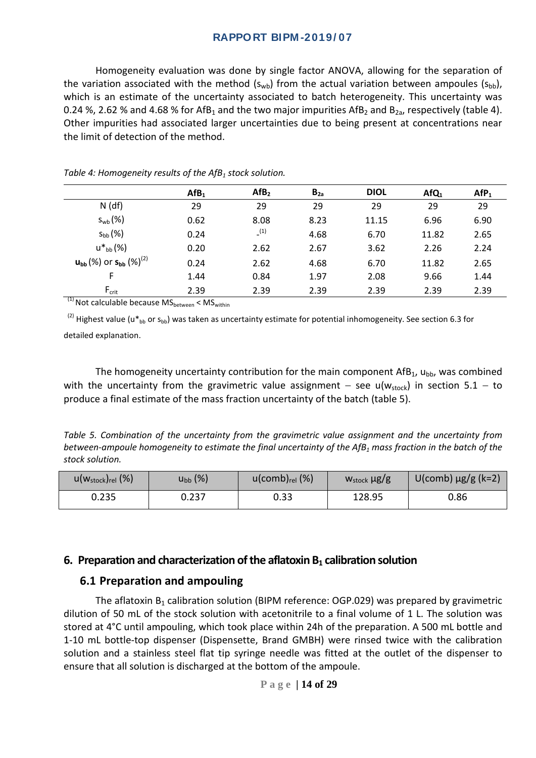Homogeneity evaluation was done by single factor ANOVA, allowing for the separation of the variation associated with the method  $(s_{wb})$  from the actual variation between ampoules  $(s_{bb})$ , which is an estimate of the uncertainty associated to batch heterogeneity. This uncertainty was 0.24 %, 2.62 % and 4.68 % for AfB<sub>1</sub> and the two major impurities AfB<sub>2</sub> and B<sub>2a</sub>, respectively (table 4). Other impurities had associated larger uncertainties due to being present at concentrations near the limit of detection of the method.

|                                                                                    | Aff <sub>1</sub> | Aff <sub>2</sub> | $B_{2a}$ | <b>DIOL</b> | $AfQ_1$ | Afp <sub>1</sub> |
|------------------------------------------------------------------------------------|------------------|------------------|----------|-------------|---------|------------------|
| $N$ (df)                                                                           | 29               | 29               | 29       | 29          | 29      | 29               |
| $S_{wb}$ $(\%)$                                                                    | 0.62             | 8.08             | 8.23     | 11.15       | 6.96    | 6.90             |
| $S_{bb}(%)$                                                                        | 0.24             | (1)              | 4.68     | 6.70        | 11.82   | 2.65             |
| $u^*{}_{bb}$ (%)                                                                   | 0.20             | 2.62             | 2.67     | 3.62        | 2.26    | 2.24             |
| $\mathsf{u}_{\mathsf{bb}}(\%)$ or $\mathsf{s}_{\mathsf{bb}}\left(\% \right)^{(2)}$ | 0.24             | 2.62             | 4.68     | 6.70        | 11.82   | 2.65             |
| F                                                                                  | 1.44             | 0.84             | 1.97     | 2.08        | 9.66    | 1.44             |
| $F_{\text{crit}}$<br>$\overline{\phantom{a}}$                                      | 2.39             | 2.39             | 2.39     | 2.39        | 2.39    | 2.39             |

*Table 4: Homogeneity results of the AfB<sub>1</sub> stock solution.* 

 $F^{(1)}$  Not calculable because MS<sub>between</sub> < MS<sub>within</sub>

<sup>(2)</sup> Highest value (u\*<sub>bb</sub> or s<sub>bb</sub>) was taken as uncertainty estimate for potential inhomogeneity. See section 6.3 for detailed explanation.

The homogeneity uncertainty contribution for the main component  $Aff<sub>1</sub>$ , u<sub>bb</sub>, was combined with the uncertainty from the gravimetric value assignment – see u( $w_{stock}$ ) in section 5.1 – to produce a final estimate of the mass fraction uncertainty of the batch (table 5).

*Table 5. Combination of the uncertainty from the gravimetric value assignment and the uncertainty from between-ampoule homogeneity to estimate the final uncertainty of the AfB1 mass fraction in the batch of the stock solution.*

| $u(w_{stock})_{rel}$ (%) | $u_{bb}$ (%) | $u$ (comb) $_{rel}$ (%) | $W_{stock} \mu g/g$ | $U$ (comb) $\mu$ g/g (k=2) |
|--------------------------|--------------|-------------------------|---------------------|----------------------------|
| 0.235                    | 0.237        | 0.33                    | 128.95              | 0.86                       |

#### <span id="page-14-0"></span>**6. Preparation and characterization of the aflatoxin**  $B_1$  **calibration solution**

#### <span id="page-14-1"></span>**6.1 Preparation and ampouling**

The aflatoxin  $B_1$  calibration solution (BIPM reference: OGP.029) was prepared by gravimetric dilution of 50 mL of the stock solution with acetonitrile to a final volume of 1 L. The solution was stored at 4°C until ampouling, which took place within 24h of the preparation. A 500 mL bottle and 1-10 mL bottle-top dispenser (Dispensette, Brand GMBH) were rinsed twice with the calibration solution and a stainless steel flat tip syringe needle was fitted at the outlet of the dispenser to ensure that all solution is discharged at the bottom of the ampoule.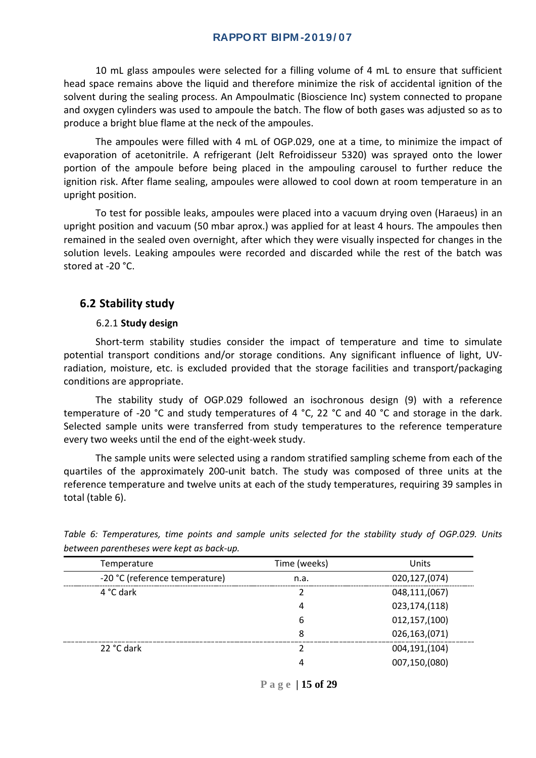10 mL glass ampoules were selected for a filling volume of 4 mL to ensure that sufficient head space remains above the liquid and therefore minimize the risk of accidental ignition of the solvent during the sealing process. An Ampoulmatic (Bioscience Inc) system connected to propane and oxygen cylinders was used to ampoule the batch. The flow of both gases was adjusted so as to produce a bright blue flame at the neck of the ampoules.

The ampoules were filled with 4 mL of OGP.029, one at a time, to minimize the impact of evaporation of acetonitrile. A refrigerant (Jelt Refroidisseur 5320) was sprayed onto the lower portion of the ampoule before being placed in the ampouling carousel to further reduce the ignition risk. After flame sealing, ampoules were allowed to cool down at room temperature in an upright position.

To test for possible leaks, ampoules were placed into a vacuum drying oven (Haraeus) in an upright position and vacuum (50 mbar aprox.) was applied for at least 4 hours. The ampoules then remained in the sealed oven overnight, after which they were visually inspected for changes in the solution levels. Leaking ampoules were recorded and discarded while the rest of the batch was stored at -20 °C.

#### <span id="page-15-0"></span>**6.2 Stability study**

#### 6.2.1 **Study design**

<span id="page-15-1"></span>Short-term stability studies consider the impact of temperature and time to simulate potential transport conditions and/or storage conditions. Any significant influence of light, UVradiation, moisture, etc. is excluded provided that the storage facilities and transport/packaging conditions are appropriate.

The stability study of OGP.029 followed an isochronous design (9) with a reference temperature of -20 °C and study temperatures of 4 °C, 22 °C and 40 °C and storage in the dark. Selected sample units were transferred from study temperatures to the reference temperature every two weeks until the end of the eight-week study.

The sample units were selected using a random stratified sampling scheme from each of the quartiles of the approximately 200-unit batch. The study was composed of three units at the reference temperature and twelve units at each of the study temperatures, requiring 39 samples in total (table 6).

| Temperature                    | Time (weeks) | Units           |
|--------------------------------|--------------|-----------------|
| -20 °C (reference temperature) | n.a.         | 020,127,(074)   |
| 4 °C dark                      |              | 048,111,(067)   |
|                                | 4            | 023,174,(118)   |
|                                | 6            | 012, 157, (100) |
|                                | 8            | 026,163,(071)   |
| 22 °C dark                     |              | 004,191,(104)   |
|                                | 4            | 007,150,(080)   |

*Table 6: Temperatures, time points and sample units selected for the stability study of OGP.029. Units between parentheses were kept as back-up.*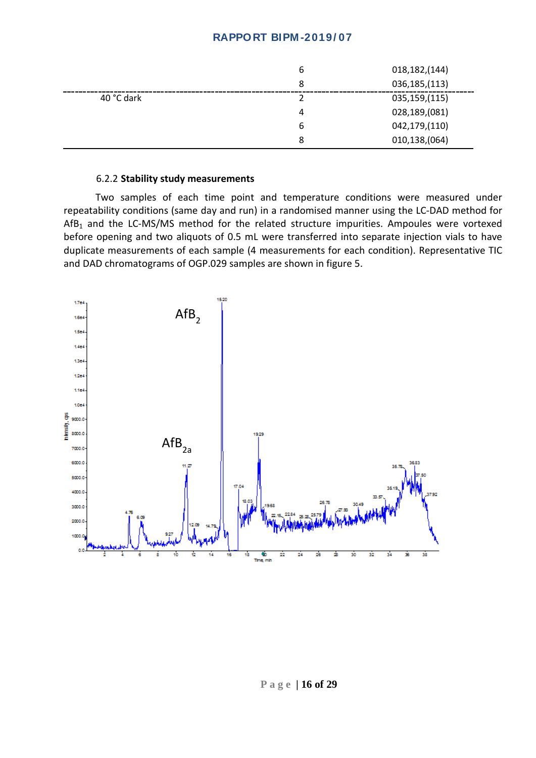|            | ь | 018, 182, 144) |
|------------|---|----------------|
|            | 8 | 036,185,(113)  |
| 40 °C dark |   | 035,159,(115)  |
|            | 4 | 028,189,(081)  |
|            | 6 | 042,179,(110)  |
|            | 8 | 010,138,(064)  |

#### 6.2.2 **Stability study measurements**

<span id="page-16-0"></span>Two samples of each time point and temperature conditions were measured under repeatability conditions (same day and run) in a randomised manner using the LC-DAD method for AfB<sub>1</sub> and the LC-MS/MS method for the related structure impurities. Ampoules were vortexed before opening and two aliquots of 0.5 mL were transferred into separate injection vials to have duplicate measurements of each sample (4 measurements for each condition). Representative TIC and DAD chromatograms of OGP.029 samples are shown in figure 5.

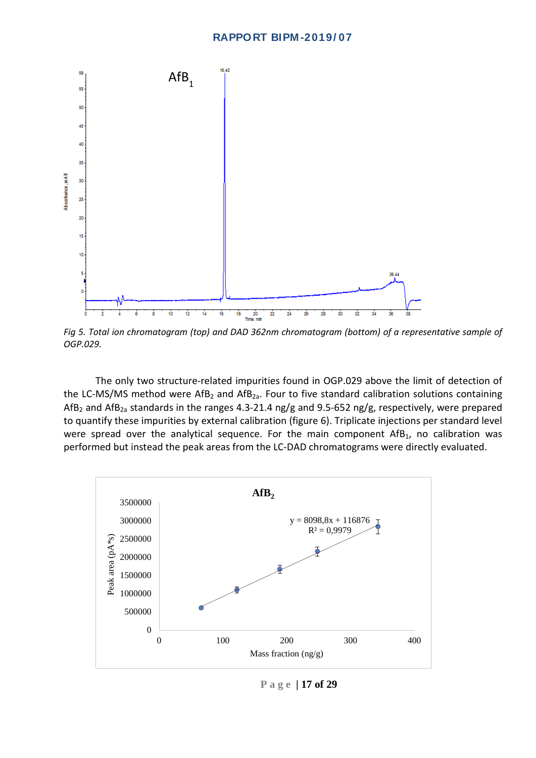

*Fig 5. Total ion chromatogram (top) and DAD 362nm chromatogram (bottom) of a representative sample of OGP.029.*

The only two structure-related impurities found in OGP.029 above the limit of detection of the LC-MS/MS method were  $AfB_2$  and  $AfB_{2a}$ . Four to five standard calibration solutions containing AfB<sub>2</sub> and AfB<sub>2a</sub> standards in the ranges 4.3-21.4 ng/g and 9.5-652 ng/g, respectively, were prepared to quantify these impurities by external calibration (figure 6). Triplicate injections per standard level were spread over the analytical sequence. For the main component  $Aff<sub>1</sub>$ , no calibration was performed but instead the peak areas from the LC-DAD chromatograms were directly evaluated.



**Page | 17 of 29**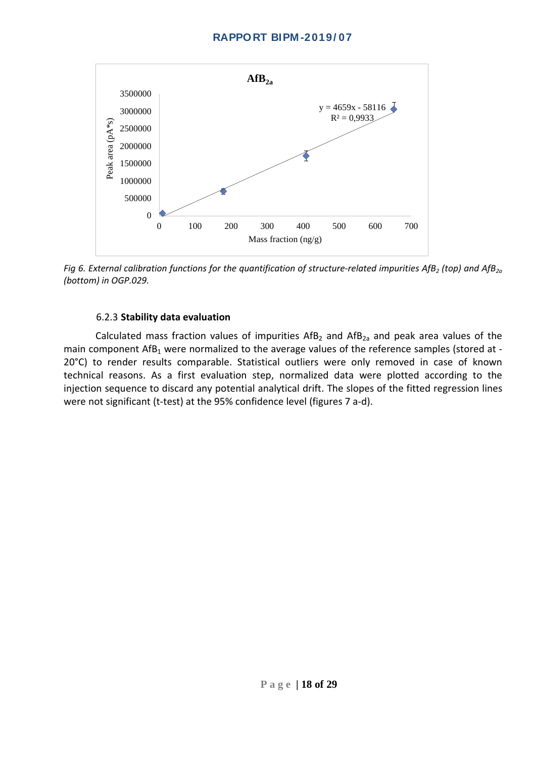

*Fig 6. External calibration functions for the quantification of structure-related impurities AfB<sub>2</sub> (top) and AfB<sub>2a</sub> (bottom) in OGP.029.*

#### 6.2.3 **Stability data evaluation**

<span id="page-18-0"></span>Calculated mass fraction values of impurities  $AFB<sub>2</sub>$  and  $AFB<sub>2a</sub>$  and peak area values of the main component AfB<sub>1</sub> were normalized to the average values of the reference samples (stored at -20°C) to render results comparable. Statistical outliers were only removed in case of known technical reasons. As a first evaluation step, normalized data were plotted according to the injection sequence to discard any potential analytical drift. The slopes of the fitted regression lines were not significant (t-test) at the 95% confidence level (figures 7 a-d).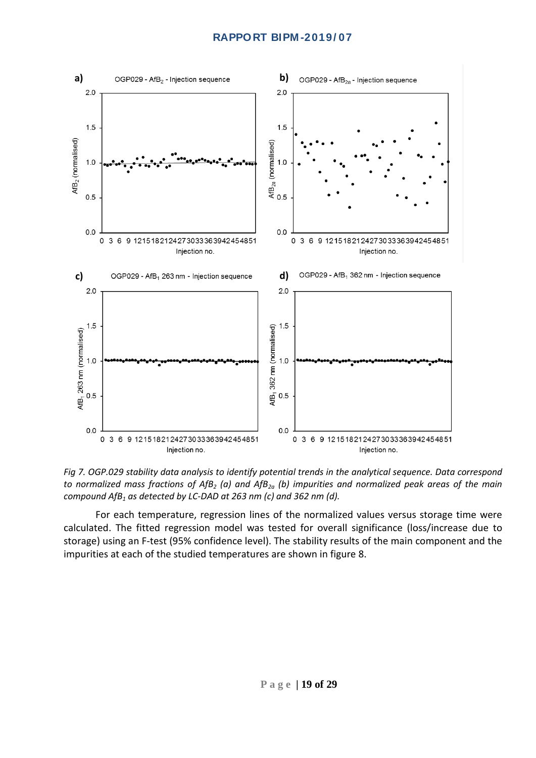

*Fig 7. OGP.029 stability data analysis to identify potential trends in the analytical sequence. Data correspond to normalized mass fractions of AfB<sub>2</sub> (a) and AfB<sub>2a</sub> (b) impurities and normalized peak areas of the main compound AfB1 as detected by LC-DAD at 263 nm (c) and 362 nm (d).*

For each temperature, regression lines of the normalized values versus storage time were calculated. The fitted regression model was tested for overall significance (loss/increase due to storage) using an F-test (95% confidence level). The stability results of the main component and the impurities at each of the studied temperatures are shown in figure 8.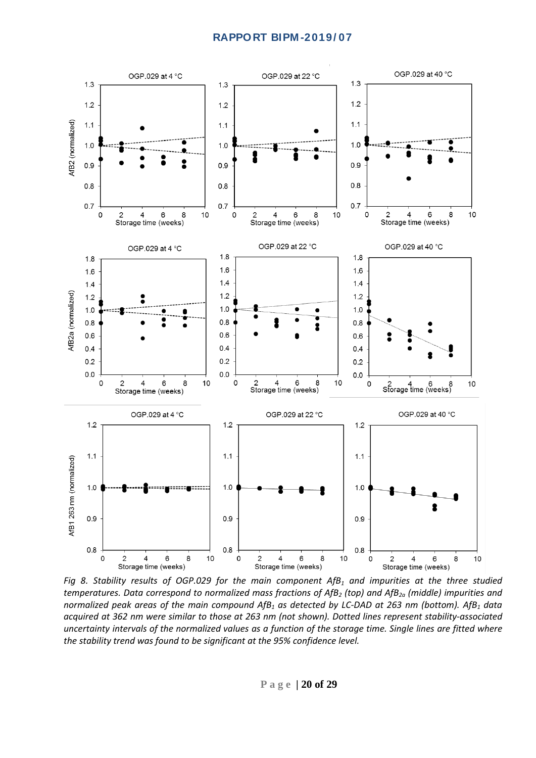

*Fig 8. Stability results of OGP.029 for the main component AfB<sub>1</sub> and impurities at the three studied temperatures. Data correspond to normalized mass fractions of AfB2 (top) and AfB2a (middle) impurities and normalized peak areas of the main compound AfB<sub>1</sub> as detected by LC-DAD at 263 nm (bottom). AfB<sub>1</sub> data acquired at 362 nm were similar to those at 263 nm (not shown). Dotted lines represent stability-associated uncertainty intervals of the normalized values as a function of the storage time. Single lines are fitted where the stability trend was found to be significant at the 95% confidence level.*

**Page | 20 of 29**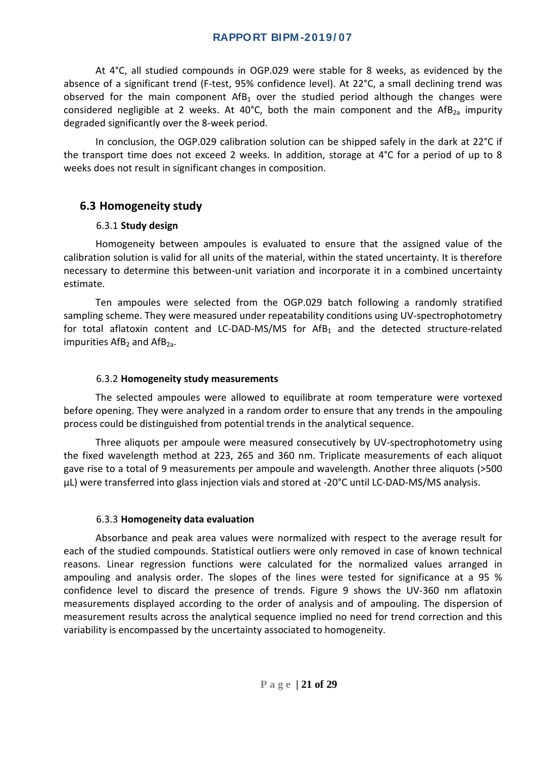At 4°C, all studied compounds in OGP.029 were stable for 8 weeks, as evidenced by the absence of a significant trend (F-test, 95% confidence level). At 22°C, a small declining trend was observed for the main component  $Aff<sub>1</sub>$  over the studied period although the changes were considered negligible at 2 weeks. At 40°C, both the main component and the AfB<sub>2a</sub> impurity degraded significantly over the 8-week period.

In conclusion, the OGP.029 calibration solution can be shipped safely in the dark at 22°C if the transport time does not exceed 2 weeks. In addition, storage at 4°C for a period of up to 8 weeks does not result in significant changes in composition.

## <span id="page-21-0"></span>**6.3 Homogeneity study**

#### 6.3.1 **Study design**

<span id="page-21-1"></span>Homogeneity between ampoules is evaluated to ensure that the assigned value of the calibration solution is valid for all units of the material, within the stated uncertainty. It is therefore necessary to determine this between-unit variation and incorporate it in a combined uncertainty estimate.

Ten ampoules were selected from the OGP.029 batch following a randomly stratified sampling scheme. They were measured under repeatability conditions using UV-spectrophotometry for total aflatoxin content and LC-DAD-MS/MS for  $Aff_{1}$  and the detected structure-related impurities  $AFB<sub>2</sub>$  and  $AFB<sub>2a</sub>$ .

#### 6.3.2 **Homogeneity study measurements**

<span id="page-21-2"></span>The selected ampoules were allowed to equilibrate at room temperature were vortexed before opening. They were analyzed in a random order to ensure that any trends in the ampouling process could be distinguished from potential trends in the analytical sequence.

Three aliquots per ampoule were measured consecutively by UV-spectrophotometry using the fixed wavelength method at 223, 265 and 360 nm. Triplicate measurements of each aliquot gave rise to a total of 9 measurements per ampoule and wavelength. Another three aliquots (>500 µL) were transferred into glass injection vials and stored at -20°C until LC-DAD-MS/MS analysis.

#### 6.3.3 **Homogeneity data evaluation**

<span id="page-21-3"></span>Absorbance and peak area values were normalized with respect to the average result for each of the studied compounds. Statistical outliers were only removed in case of known technical reasons. Linear regression functions were calculated for the normalized values arranged in ampouling and analysis order. The slopes of the lines were tested for significance at a 95 % confidence level to discard the presence of trends. Figure 9 shows the UV-360 nm aflatoxin measurements displayed according to the order of analysis and of ampouling. The dispersion of measurement results across the analytical sequence implied no need for trend correction and this variability is encompassed by the uncertainty associated to homogeneity.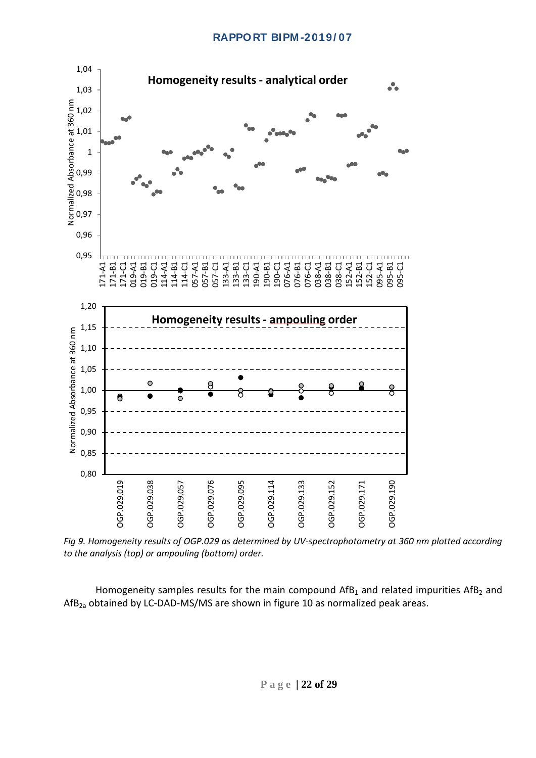

*Fig 9. Homogeneity results of OGP.029 as determined by UV-spectrophotometry at 360 nm plotted according to the analysis (top) or ampouling (bottom) order.*

Homogeneity samples results for the main compound  $Aff<sub>1</sub>$  and related impurities AfB<sub>2</sub> and  $AfB_{2a}$  obtained by LC-DAD-MS/MS are shown in figure 10 as normalized peak areas.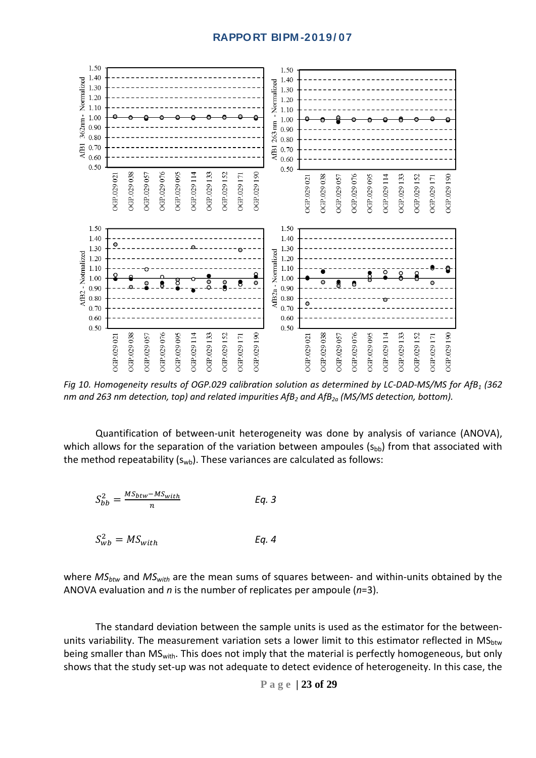

*Fig 10. Homogeneity results of OGP.029 calibration solution as determined by LC-DAD-MS/MS for AfB1 (362 nm and 263 nm detection, top) and related impurities AfB<sub>2</sub> and AfB<sub>2a</sub> (MS/MS detection, bottom).* 

Quantification of between-unit heterogeneity was done by analysis of variance (ANOVA), which allows for the separation of the variation between ampoules  $(s_{bb})$  from that associated with the method repeatability  $(s_{wb})$ . These variances are calculated as follows:

$$
S_{bb}^2 = \frac{MS_{btw} - MS_{with}}{n}
$$
 Eq. 3

$$
S_{wb}^2 = MS_{with} \tEq. 4
$$

where  $MS_{btw}$  and  $MS_{with}$  are the mean sums of squares between- and within-units obtained by the ANOVA evaluation and *n* is the number of replicates per ampoule (*n*=3).

The standard deviation between the sample units is used as the estimator for the betweenunits variability. The measurement variation sets a lower limit to this estimator reflected in MS<sub>btw</sub> being smaller than MS<sub>with</sub>. This does not imply that the material is perfectly homogeneous, but only shows that the study set-up was not adequate to detect evidence of heterogeneity. In this case, the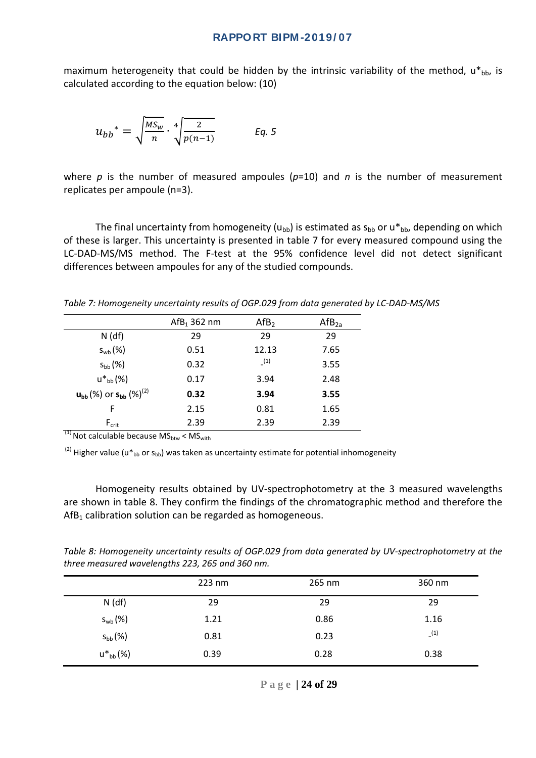maximum heterogeneity that could be hidden by the intrinsic variability of the method,  $u^*{}_{bb}$ , is calculated according to the equation below: (10)

$$
u_{bb}^* = \sqrt{\frac{MS_w}{n}} \cdot \sqrt[4]{\frac{2}{p(n-1)}} \qquad \text{Eq. 5}
$$

where  $p$  is the number of measured ampoules ( $p=10$ ) and  $n$  is the number of measurement replicates per ampoule (n=3).

The final uncertainty from homogeneity ( $u_{bb}$ ) is estimated as  $s_{bb}$  or  $u^*$ <sub>bb</sub>, depending on which of these is larger. This uncertainty is presented in table 7 for every measured compound using the LC-DAD-MS/MS method. The F-test at the 95% confidence level did not detect significant differences between ampoules for any of the studied compounds.

*Table 7: Homogeneity uncertainty results of OGP.029 from data generated by LC-DAD-MS/MS*

|                                             | $Aff1$ 362 nm | Aff <sub>2</sub> | $Aff_{2a}$ |
|---------------------------------------------|---------------|------------------|------------|
| $N$ (df)                                    | 29            | 29               | 29         |
| $S_{\text{wb}}(\%)$                         | 0.51          | 12.13            | 7.65       |
| $S_{bb}(%)$                                 | 0.32          | (1)              | 3.55       |
| $u^*{}_{\text{bb}}$ (%)                     | 0.17          | 3.94             | 2.48       |
| $u_{bb}$ (%) or $s_{bb}$ (%) <sup>(2)</sup> | 0.32          | 3.94             | 3.55       |
| F                                           | 2.15          | 0.81             | 1.65       |
| $F_{\text{crit}}$<br>(1)                    | 2.39          | 2.39             | 2.39       |

 $^{(1)}$  Not calculable because MS<sub>btw</sub> < MS<sub>with</sub>

<sup>(2)</sup> Higher value (u<sup>\*</sup><sub>bb</sub> or s<sub>bb</sub>) was taken as uncertainty estimate for potential inhomogeneity

Homogeneity results obtained by UV-spectrophotometry at the 3 measured wavelengths are shown in table 8. They confirm the findings of the chromatographic method and therefore the  $Aff<sub>1</sub>$  calibration solution can be regarded as homogeneous.

*Table 8: Homogeneity uncertainty results of OGP.029 from data generated by UV-spectrophotometry at the three measured wavelengths 223, 265 and 360 nm.*

|                  | 223 nm | 265 nm | 360 nm |
|------------------|--------|--------|--------|
| $N$ (df)         | 29     | 29     | 29     |
| $S_{wb}$ $(\%)$  | 1.21   | 0.86   | 1.16   |
| $S_{bb}(%)$      | 0.81   | 0.23   | (1)    |
| $u^*{}_{bb}$ (%) | 0.39   | 0.28   | 0.38   |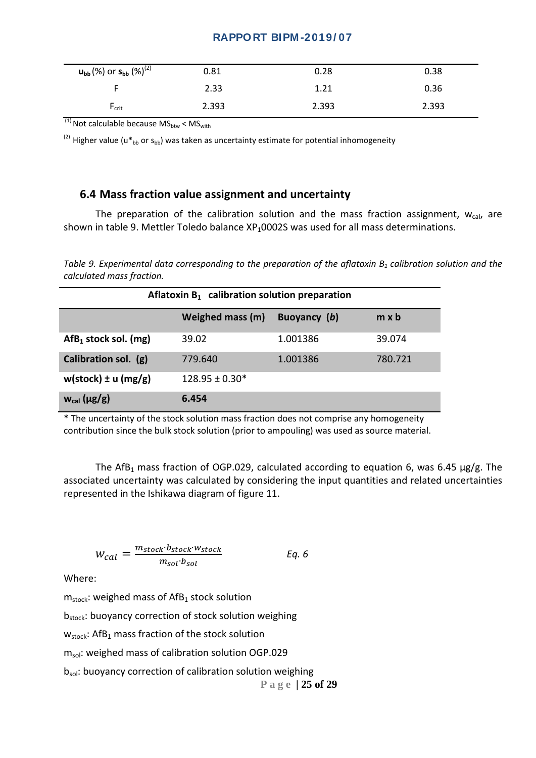| $u_{bb}$ (%) or $s_{bb}$ (%) <sup>(2)</sup> | 0.81  | 0.28  | 0.38  |
|---------------------------------------------|-------|-------|-------|
|                                             | 2.33  | 1.21  | 0.36  |
| $F_{\text{crit}}$                           | 2.393 | 2.393 | 2.393 |

 $^{(1)}$  Not calculable because MS<sub>btw</sub> < MS<sub>with</sub>

 $^{(2)}$  Higher value (u $*_{\text{bb}}$  or s<sub>bb</sub>) was taken as uncertainty estimate for potential inhomogeneity

#### <span id="page-25-0"></span>**6.4 Mass fraction value assignment and uncertainty**

The preparation of the calibration solution and the mass fraction assignment,  $w_{cal}$  are shown in table 9. Mettler Toledo balance  $XP<sub>1</sub>0002S$  was used for all mass determinations.

*Table 9. Experimental data corresponding to the preparation of the aflatoxin B<sub>1</sub> calibration solution and the calculated mass fraction.*

| Aflatoxin $B_1$ calibration solution preparation |                    |              |              |  |  |  |
|--------------------------------------------------|--------------------|--------------|--------------|--|--|--|
|                                                  | Weighed mass (m)   | Buoyancy (b) | $m \times b$ |  |  |  |
| $Aff1$ stock sol. (mg)                           | 39.02              | 1.001386     | 39.074       |  |  |  |
| Calibration sol. (g)                             | 779.640            | 1.001386     | 780.721      |  |  |  |
| $w(\text{stock}) \pm u(\text{mg/g})$             | $128.95 \pm 0.30*$ |              |              |  |  |  |
| $w_{cal}$ ( $\mu$ g/g)                           | 6.454              |              |              |  |  |  |

\* The uncertainty of the stock solution mass fraction does not comprise any homogeneity contribution since the bulk stock solution (prior to ampouling) was used as source material.

The AfB<sub>1</sub> mass fraction of OGP.029, calculated according to equation 6, was 6.45  $\mu$ g/g. The associated uncertainty was calculated by considering the input quantities and related uncertainties represented in the Ishikawa diagram of figure 11.

$$
W_{cal} = \frac{m_{stock} \cdot b_{stock} \cdot w_{stock}}{m_{sol} \cdot b_{sol}}
$$
 Eq. 6

Where:

 $m_{stock}$ : weighed mass of AfB<sub>1</sub> stock solution

b<sub>stock</sub>: buoyancy correction of stock solution weighing

 $w_{stock}$ : AfB<sub>1</sub> mass fraction of the stock solution

 $m<sub>sol</sub>$ : weighed mass of calibration solution OGP.029

b<sub>sol</sub>: buoyancy correction of calibration solution weighing

**Page | 25 of 29**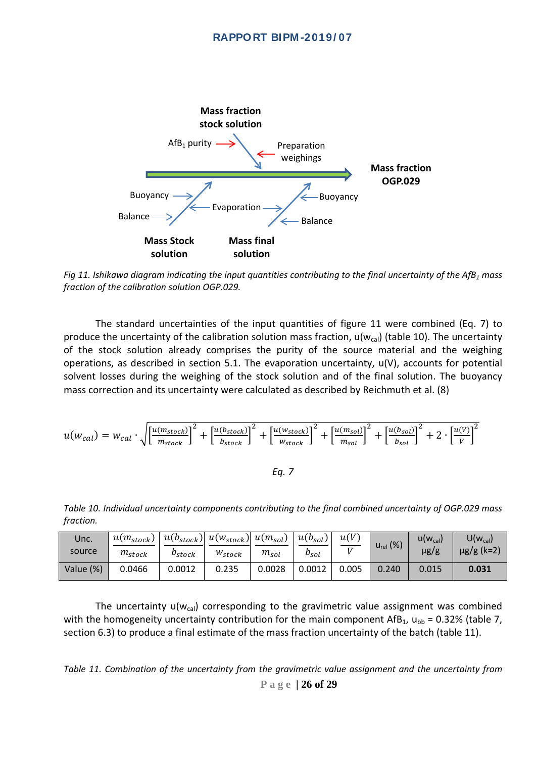

*Fig 11. Ishikawa diagram indicating the input quantities contributing to the final uncertainty of the AfB1 mass fraction of the calibration solution OGP.029.*

The standard uncertainties of the input quantities of figure 11 were combined (Eq. 7) to produce the uncertainty of the calibration solution mass fraction,  $u(w_{cal})$  (table 10). The uncertainty of the stock solution already comprises the purity of the source material and the weighing operations, as described in section 5.1. The evaporation uncertainty, u(V), accounts for potential solvent losses during the weighing of the stock solution and of the final solution. The buoyancy mass correction and its uncertainty were calculated as described by Reichmuth et al. (8)

$$
u(w_{cal}) = w_{cal} \cdot \sqrt{\left[\frac{u(m_{stock})}{m_{stock}}\right]^2 + \left[\frac{u(b_{stock})}{b_{stock}}\right]^2 + \left[\frac{u(w_{stock})}{w_{stock}}\right]^2 + \left[\frac{u(m_{sol})}{m_{sol}}\right]^2 + \left[\frac{u(b_{sol})}{b_{sol}}\right]^2 + 2 \cdot \left[\frac{u(V)}{V}\right]^2}
$$

*Eq. 7*

*Table 10. Individual uncertainty components contributing to the final combined uncertainty of OGP.029 mass fraction.*

| Unc.<br>source | $u(m_{stock})$<br>$m_{stock}$ | $u(b_{stock})$<br>$\nu_{stock}$ | $u(w_{stock})$ $u(m_{sol})$<br>$W_{stock}$ | $m_{sol}$ | $u(b_{sol})$<br>$b_{sol}$ | u(V)<br>T Z | $u_{rel}$ (%) | $U(W_{cal})$<br>$\mu$ g/g | $U(w_{cal})$<br>$\mu$ g/g (k=2) |
|----------------|-------------------------------|---------------------------------|--------------------------------------------|-----------|---------------------------|-------------|---------------|---------------------------|---------------------------------|
| Value (%)      | 0.0466                        | 0.0012                          | 0.235                                      | 0.0028    | 0.0012                    | 0.005       | 0.240         | 0.015                     | 0.031                           |

The uncertainty  $u(w_{cal})$  corresponding to the gravimetric value assignment was combined with the homogeneity uncertainty contribution for the main component AfB<sub>1</sub>,  $u_{bb} = 0.32\%$  (table 7, section 6.3) to produce a final estimate of the mass fraction uncertainty of the batch (table 11).

**Page | 26 of 29** *Table 11. Combination of the uncertainty from the gravimetric value assignment and the uncertainty from*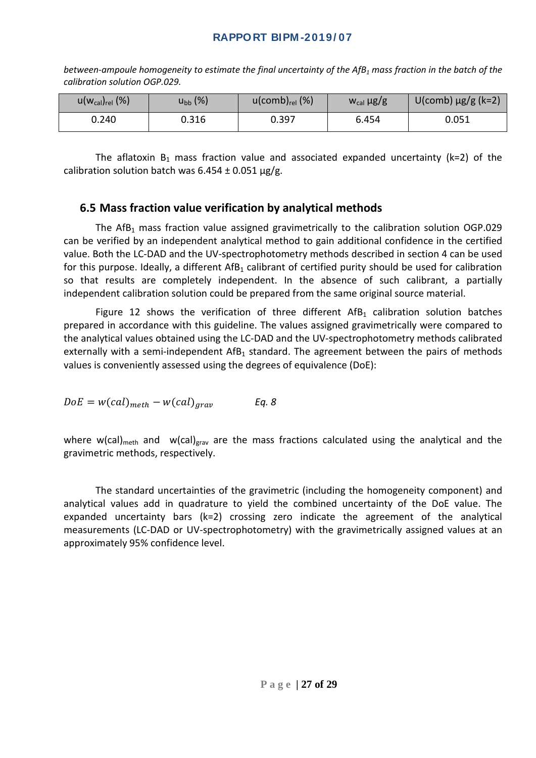*between-ampoule homogeneity to estimate the final uncertainty of the AfB<sub>1</sub> mass fraction in the batch of the calibration solution OGP.029.*

| $u(w_{cal})_{rel}$ (%) | $u_{bb}(\%)$ | $u$ (comb) $_{rel}$ (%) | $W_{cal}$ $\mu$ g/g | $U$ (comb) $\mu$ g/g (k=2) |
|------------------------|--------------|-------------------------|---------------------|----------------------------|
| 0.240                  | 0.316        | 0.397                   | 6.454               | 0.051                      |

The aflatoxin  $B_1$  mass fraction value and associated expanded uncertainty (k=2) of the calibration solution batch was  $6.454 \pm 0.051$  µg/g.

## <span id="page-27-0"></span>**6.5 Mass fraction value verification by analytical methods**

The AfB<sub>1</sub> mass fraction value assigned gravimetrically to the calibration solution OGP.029 can be verified by an independent analytical method to gain additional confidence in the certified value. Both the LC-DAD and the UV-spectrophotometry methods described in section 4 can be used for this purpose. Ideally, a different  $Aff_1$  calibrant of certified purity should be used for calibration so that results are completely independent. In the absence of such calibrant, a partially independent calibration solution could be prepared from the same original source material.

Figure 12 shows the verification of three different  $A f_{B_1}$  calibration solution batches prepared in accordance with this guideline. The values assigned gravimetrically were compared to the analytical values obtained using the LC-DAD and the UV-spectrophotometry methods calibrated externally with a semi-independent  $Aff<sub>1</sub>$  standard. The agreement between the pairs of methods values is conveniently assessed using the degrees of equivalence (DoE):

$$
DoE = w(cal)_{meth} - w(cal)_{grav} \qquad Eq. 8
$$

where w(cal)<sub>meth</sub> and w(cal)<sub>grav</sub> are the mass fractions calculated using the analytical and the gravimetric methods, respectively.

The standard uncertainties of the gravimetric (including the homogeneity component) and analytical values add in quadrature to yield the combined uncertainty of the DoE value. The expanded uncertainty bars (k=2) crossing zero indicate the agreement of the analytical measurements (LC-DAD or UV-spectrophotometry) with the gravimetrically assigned values at an approximately 95% confidence level.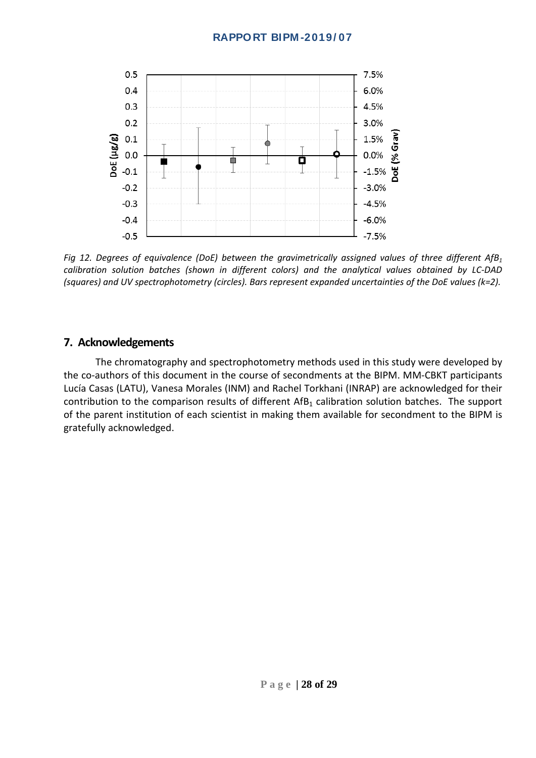

*Fig 12. Degrees of equivalence (DoE) between the gravimetrically assigned values of three different AfB1 calibration solution batches (shown in different colors) and the analytical values obtained by LC-DAD (squares) and UV spectrophotometry (circles). Bars represent expanded uncertainties of the DoE values (k=2).*

## <span id="page-28-0"></span>**7. Acknowledgements**

The chromatography and spectrophotometry methods used in this study were developed by the co-authors of this document in the course of secondments at the BIPM. MM-CBKT participants Lucía Casas (LATU), Vanesa Morales (INM) and Rachel Torkhani (INRAP) are acknowledged for their contribution to the comparison results of different  $AfB_1$  calibration solution batches. The support of the parent institution of each scientist in making them available for secondment to the BIPM is gratefully acknowledged.